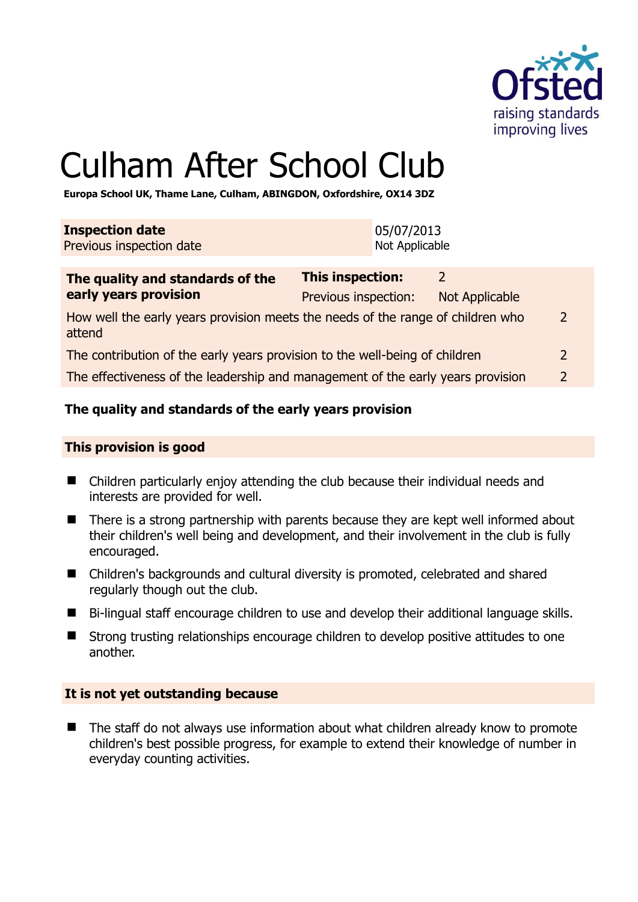

# Culham After School Club

**Europa School UK, Thame Lane, Culham, ABINGDON, Oxfordshire, OX14 3DZ** 

| <b>Inspection date</b>   | 05/07/2013     |
|--------------------------|----------------|
| Previous inspection date | Not Applicable |
|                          |                |

| The quality and standards of the                                                          | This inspection:     | $\mathcal{D}$         |                |
|-------------------------------------------------------------------------------------------|----------------------|-----------------------|----------------|
| early years provision                                                                     | Previous inspection: | <b>Not Applicable</b> |                |
| How well the early years provision meets the needs of the range of children who<br>attend |                      |                       | 2              |
| The contribution of the early years provision to the well-being of children               |                      |                       | 2              |
| The effectiveness of the leadership and management of the early years provision           |                      |                       | $\overline{2}$ |

# **The quality and standards of the early years provision**

#### **This provision is good**

- Children particularly enjoy attending the club because their individual needs and interests are provided for well.
- There is a strong partnership with parents because they are kept well informed about their children's well being and development, and their involvement in the club is fully encouraged.
- Children's backgrounds and cultural diversity is promoted, celebrated and shared regularly though out the club.
- Bi-lingual staff encourage children to use and develop their additional language skills.
- Strong trusting relationships encourage children to develop positive attitudes to one another.

# **It is not yet outstanding because**

■ The staff do not always use information about what children already know to promote children's best possible progress, for example to extend their knowledge of number in everyday counting activities.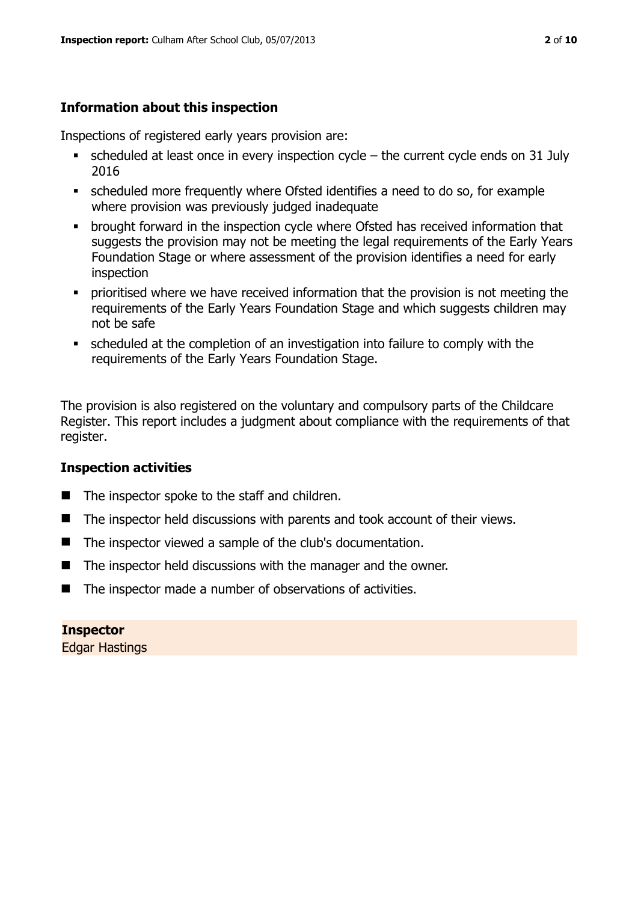# **Information about this inspection**

Inspections of registered early years provision are:

- scheduled at least once in every inspection cycle the current cycle ends on 31 July 2016
- scheduled more frequently where Ofsted identifies a need to do so, for example where provision was previously judged inadequate
- **•** brought forward in the inspection cycle where Ofsted has received information that suggests the provision may not be meeting the legal requirements of the Early Years Foundation Stage or where assessment of the provision identifies a need for early inspection
- **•** prioritised where we have received information that the provision is not meeting the requirements of the Early Years Foundation Stage and which suggests children may not be safe
- scheduled at the completion of an investigation into failure to comply with the requirements of the Early Years Foundation Stage.

The provision is also registered on the voluntary and compulsory parts of the Childcare Register. This report includes a judgment about compliance with the requirements of that register.

# **Inspection activities**

- The inspector spoke to the staff and children.
- The inspector held discussions with parents and took account of their views.
- The inspector viewed a sample of the club's documentation.
- $\blacksquare$  The inspector held discussions with the manager and the owner.
- The inspector made a number of observations of activities.

**Inspector**  Edgar Hastings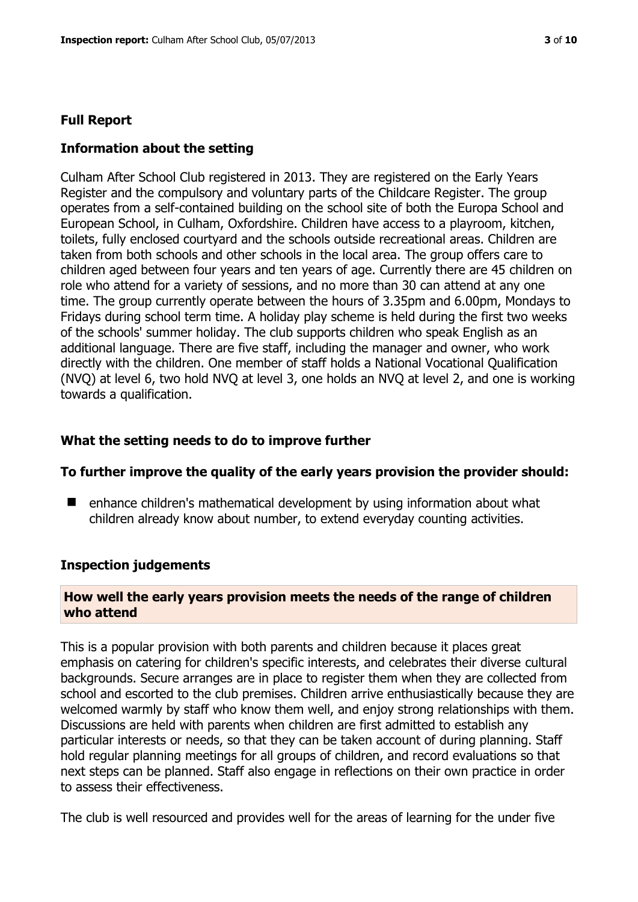# **Full Report**

# **Information about the setting**

Culham After School Club registered in 2013. They are registered on the Early Years Register and the compulsory and voluntary parts of the Childcare Register. The group operates from a self-contained building on the school site of both the Europa School and European School, in Culham, Oxfordshire. Children have access to a playroom, kitchen, toilets, fully enclosed courtyard and the schools outside recreational areas. Children are taken from both schools and other schools in the local area. The group offers care to children aged between four years and ten years of age. Currently there are 45 children on role who attend for a variety of sessions, and no more than 30 can attend at any one time. The group currently operate between the hours of 3.35pm and 6.00pm, Mondays to Fridays during school term time. A holiday play scheme is held during the first two weeks of the schools' summer holiday. The club supports children who speak English as an additional language. There are five staff, including the manager and owner, who work directly with the children. One member of staff holds a National Vocational Qualification (NVQ) at level 6, two hold NVQ at level 3, one holds an NVQ at level 2, and one is working towards a qualification.

# **What the setting needs to do to improve further**

#### **To further improve the quality of the early years provision the provider should:**

■ enhance children's mathematical development by using information about what children already know about number, to extend everyday counting activities.

#### **Inspection judgements**

# **How well the early years provision meets the needs of the range of children who attend**

This is a popular provision with both parents and children because it places great emphasis on catering for children's specific interests, and celebrates their diverse cultural backgrounds. Secure arranges are in place to register them when they are collected from school and escorted to the club premises. Children arrive enthusiastically because they are welcomed warmly by staff who know them well, and enjoy strong relationships with them. Discussions are held with parents when children are first admitted to establish any particular interests or needs, so that they can be taken account of during planning. Staff hold regular planning meetings for all groups of children, and record evaluations so that next steps can be planned. Staff also engage in reflections on their own practice in order to assess their effectiveness.

The club is well resourced and provides well for the areas of learning for the under five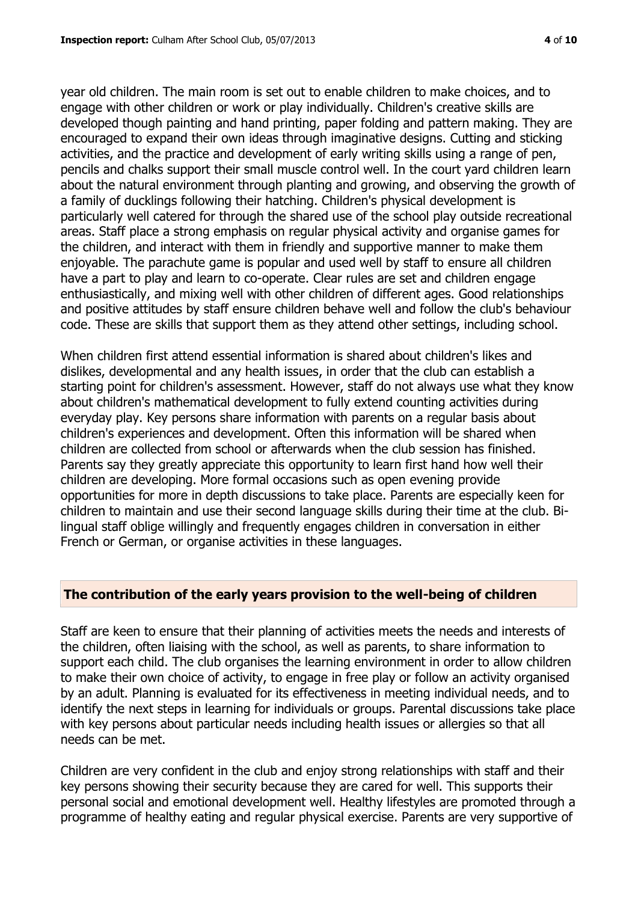year old children. The main room is set out to enable children to make choices, and to engage with other children or work or play individually. Children's creative skills are developed though painting and hand printing, paper folding and pattern making. They are encouraged to expand their own ideas through imaginative designs. Cutting and sticking activities, and the practice and development of early writing skills using a range of pen, pencils and chalks support their small muscle control well. In the court yard children learn about the natural environment through planting and growing, and observing the growth of a family of ducklings following their hatching. Children's physical development is particularly well catered for through the shared use of the school play outside recreational areas. Staff place a strong emphasis on regular physical activity and organise games for the children, and interact with them in friendly and supportive manner to make them enjoyable. The parachute game is popular and used well by staff to ensure all children have a part to play and learn to co-operate. Clear rules are set and children engage enthusiastically, and mixing well with other children of different ages. Good relationships and positive attitudes by staff ensure children behave well and follow the club's behaviour code. These are skills that support them as they attend other settings, including school.

When children first attend essential information is shared about children's likes and dislikes, developmental and any health issues, in order that the club can establish a starting point for children's assessment. However, staff do not always use what they know about children's mathematical development to fully extend counting activities during everyday play. Key persons share information with parents on a regular basis about children's experiences and development. Often this information will be shared when children are collected from school or afterwards when the club session has finished. Parents say they greatly appreciate this opportunity to learn first hand how well their children are developing. More formal occasions such as open evening provide opportunities for more in depth discussions to take place. Parents are especially keen for children to maintain and use their second language skills during their time at the club. Bilingual staff oblige willingly and frequently engages children in conversation in either French or German, or organise activities in these languages.

# **The contribution of the early years provision to the well-being of children**

Staff are keen to ensure that their planning of activities meets the needs and interests of the children, often liaising with the school, as well as parents, to share information to support each child. The club organises the learning environment in order to allow children to make their own choice of activity, to engage in free play or follow an activity organised by an adult. Planning is evaluated for its effectiveness in meeting individual needs, and to identify the next steps in learning for individuals or groups. Parental discussions take place with key persons about particular needs including health issues or allergies so that all needs can be met.

Children are very confident in the club and enjoy strong relationships with staff and their key persons showing their security because they are cared for well. This supports their personal social and emotional development well. Healthy lifestyles are promoted through a programme of healthy eating and regular physical exercise. Parents are very supportive of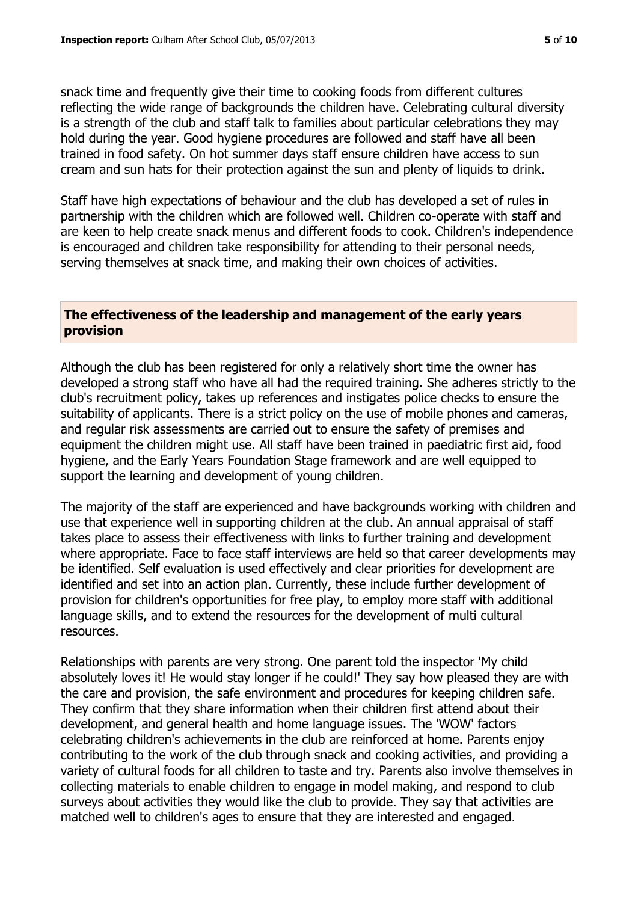snack time and frequently give their time to cooking foods from different cultures reflecting the wide range of backgrounds the children have. Celebrating cultural diversity is a strength of the club and staff talk to families about particular celebrations they may hold during the year. Good hygiene procedures are followed and staff have all been trained in food safety. On hot summer days staff ensure children have access to sun cream and sun hats for their protection against the sun and plenty of liquids to drink.

Staff have high expectations of behaviour and the club has developed a set of rules in partnership with the children which are followed well. Children co-operate with staff and are keen to help create snack menus and different foods to cook. Children's independence is encouraged and children take responsibility for attending to their personal needs, serving themselves at snack time, and making their own choices of activities.

# **The effectiveness of the leadership and management of the early years provision**

Although the club has been registered for only a relatively short time the owner has developed a strong staff who have all had the required training. She adheres strictly to the club's recruitment policy, takes up references and instigates police checks to ensure the suitability of applicants. There is a strict policy on the use of mobile phones and cameras, and regular risk assessments are carried out to ensure the safety of premises and equipment the children might use. All staff have been trained in paediatric first aid, food hygiene, and the Early Years Foundation Stage framework and are well equipped to support the learning and development of young children.

The majority of the staff are experienced and have backgrounds working with children and use that experience well in supporting children at the club. An annual appraisal of staff takes place to assess their effectiveness with links to further training and development where appropriate. Face to face staff interviews are held so that career developments may be identified. Self evaluation is used effectively and clear priorities for development are identified and set into an action plan. Currently, these include further development of provision for children's opportunities for free play, to employ more staff with additional language skills, and to extend the resources for the development of multi cultural resources.

Relationships with parents are very strong. One parent told the inspector 'My child absolutely loves it! He would stay longer if he could!' They say how pleased they are with the care and provision, the safe environment and procedures for keeping children safe. They confirm that they share information when their children first attend about their development, and general health and home language issues. The 'WOW' factors celebrating children's achievements in the club are reinforced at home. Parents enjoy contributing to the work of the club through snack and cooking activities, and providing a variety of cultural foods for all children to taste and try. Parents also involve themselves in collecting materials to enable children to engage in model making, and respond to club surveys about activities they would like the club to provide. They say that activities are matched well to children's ages to ensure that they are interested and engaged.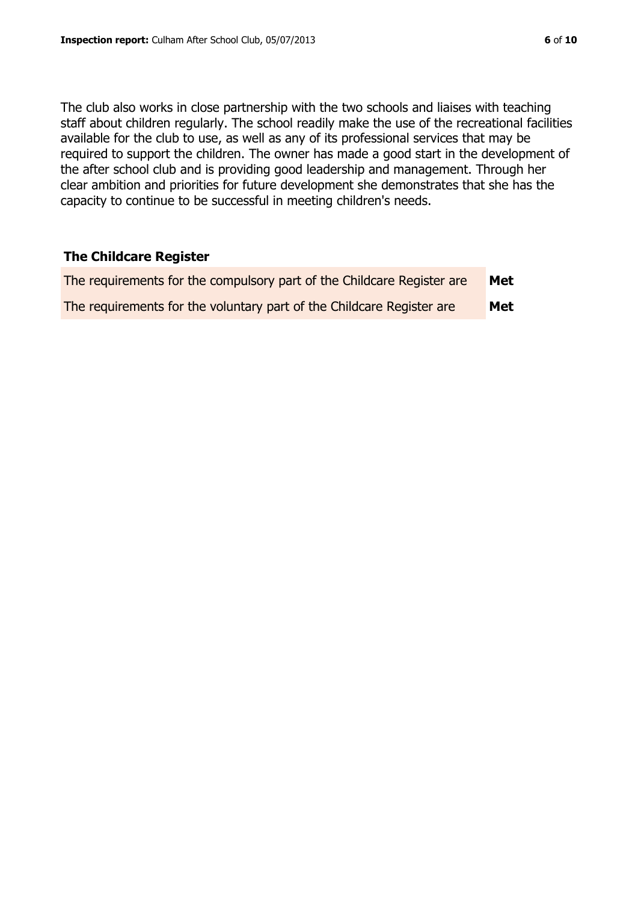The club also works in close partnership with the two schools and liaises with teaching staff about children regularly. The school readily make the use of the recreational facilities available for the club to use, as well as any of its professional services that may be required to support the children. The owner has made a good start in the development of the after school club and is providing good leadership and management. Through her clear ambition and priorities for future development she demonstrates that she has the capacity to continue to be successful in meeting children's needs.

# **The Childcare Register**

| The requirements for the compulsory part of the Childcare Register are | Met |
|------------------------------------------------------------------------|-----|
| The requirements for the voluntary part of the Childcare Register are  | Met |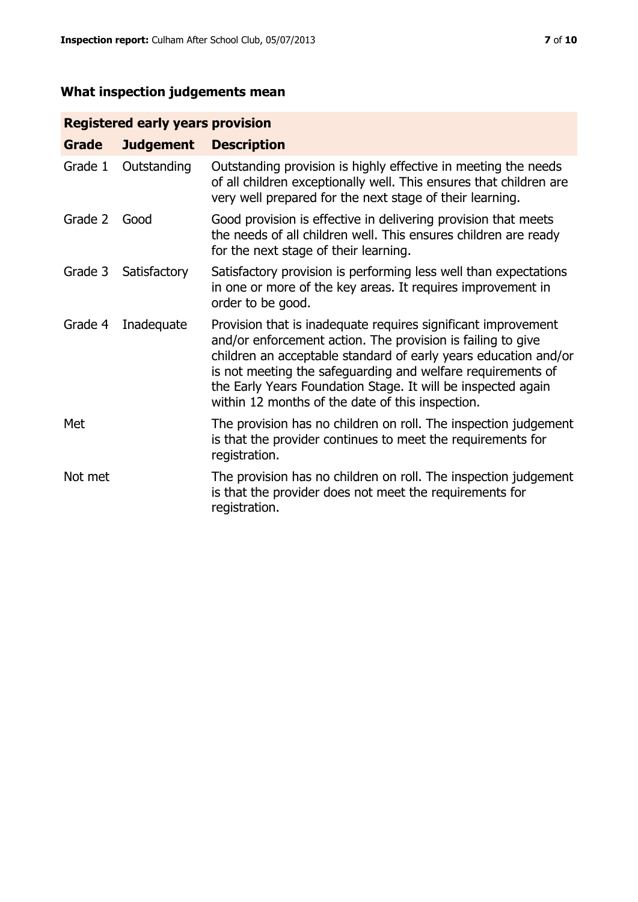# **What inspection judgements mean**

# **Registered early years provision**

| Grade   | <b>Judgement</b> | <b>Description</b>                                                                                                                                                                                                                                                                                                                                                                 |
|---------|------------------|------------------------------------------------------------------------------------------------------------------------------------------------------------------------------------------------------------------------------------------------------------------------------------------------------------------------------------------------------------------------------------|
| Grade 1 | Outstanding      | Outstanding provision is highly effective in meeting the needs<br>of all children exceptionally well. This ensures that children are<br>very well prepared for the next stage of their learning.                                                                                                                                                                                   |
| Grade 2 | Good             | Good provision is effective in delivering provision that meets<br>the needs of all children well. This ensures children are ready<br>for the next stage of their learning.                                                                                                                                                                                                         |
| Grade 3 | Satisfactory     | Satisfactory provision is performing less well than expectations<br>in one or more of the key areas. It requires improvement in<br>order to be good.                                                                                                                                                                                                                               |
| Grade 4 | Inadequate       | Provision that is inadequate requires significant improvement<br>and/or enforcement action. The provision is failing to give<br>children an acceptable standard of early years education and/or<br>is not meeting the safeguarding and welfare requirements of<br>the Early Years Foundation Stage. It will be inspected again<br>within 12 months of the date of this inspection. |
| Met     |                  | The provision has no children on roll. The inspection judgement<br>is that the provider continues to meet the requirements for<br>registration.                                                                                                                                                                                                                                    |
| Not met |                  | The provision has no children on roll. The inspection judgement<br>is that the provider does not meet the requirements for<br>registration.                                                                                                                                                                                                                                        |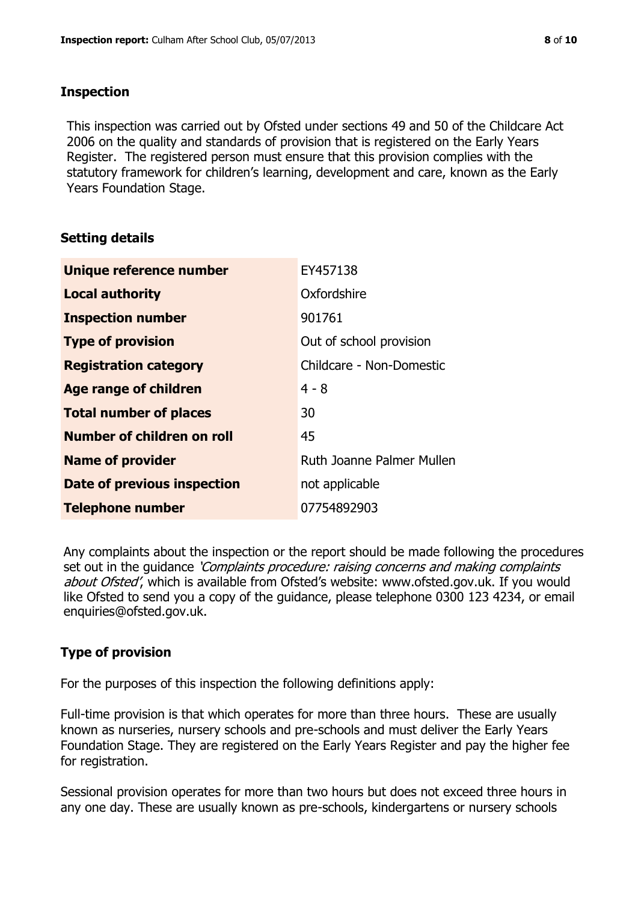# **Inspection**

This inspection was carried out by Ofsted under sections 49 and 50 of the Childcare Act 2006 on the quality and standards of provision that is registered on the Early Years Register. The registered person must ensure that this provision complies with the statutory framework for children's learning, development and care, known as the Early Years Foundation Stage.

# **Setting details**

| <b>Unique reference number</b> | EY457138                  |
|--------------------------------|---------------------------|
| <b>Local authority</b>         | Oxfordshire               |
| <b>Inspection number</b>       | 901761                    |
| <b>Type of provision</b>       | Out of school provision   |
| <b>Registration category</b>   | Childcare - Non-Domestic  |
| <b>Age range of children</b>   | $4 - 8$                   |
| <b>Total number of places</b>  | 30                        |
| Number of children on roll     | 45                        |
| <b>Name of provider</b>        | Ruth Joanne Palmer Mullen |
| Date of previous inspection    | not applicable            |
| <b>Telephone number</b>        | 07754892903               |

Any complaints about the inspection or the report should be made following the procedures set out in the guidance *'Complaints procedure: raising concerns and making complaints* about Ofsted', which is available from Ofsted's website: www.ofsted.gov.uk. If you would like Ofsted to send you a copy of the guidance, please telephone 0300 123 4234, or email enquiries@ofsted.gov.uk.

# **Type of provision**

For the purposes of this inspection the following definitions apply:

Full-time provision is that which operates for more than three hours. These are usually known as nurseries, nursery schools and pre-schools and must deliver the Early Years Foundation Stage. They are registered on the Early Years Register and pay the higher fee for registration.

Sessional provision operates for more than two hours but does not exceed three hours in any one day. These are usually known as pre-schools, kindergartens or nursery schools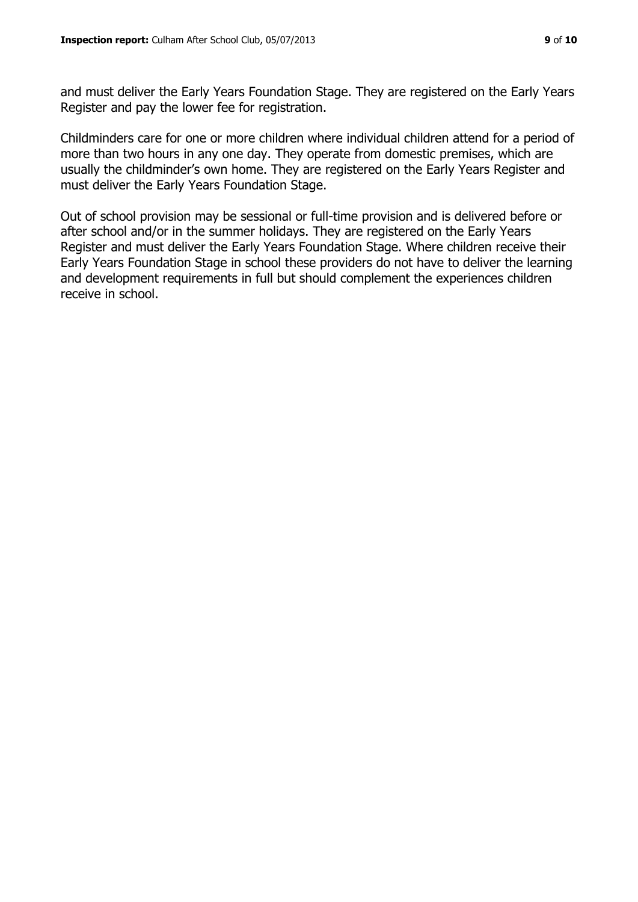and must deliver the Early Years Foundation Stage. They are registered on the Early Years Register and pay the lower fee for registration.

Childminders care for one or more children where individual children attend for a period of more than two hours in any one day. They operate from domestic premises, which are usually the childminder's own home. They are registered on the Early Years Register and must deliver the Early Years Foundation Stage.

Out of school provision may be sessional or full-time provision and is delivered before or after school and/or in the summer holidays. They are registered on the Early Years Register and must deliver the Early Years Foundation Stage. Where children receive their Early Years Foundation Stage in school these providers do not have to deliver the learning and development requirements in full but should complement the experiences children receive in school.